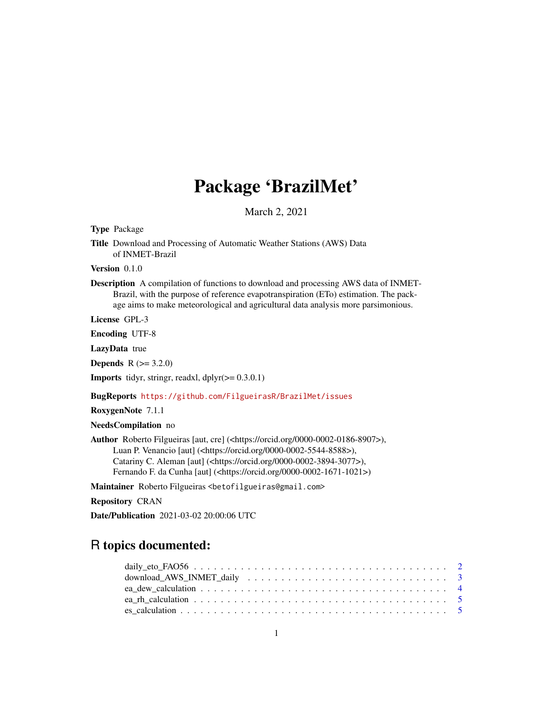# Package 'BrazilMet'

March 2, 2021

Type Package

Title Download and Processing of Automatic Weather Stations (AWS) Data of INMET-Brazil

Version 0.1.0

Description A compilation of functions to download and processing AWS data of INMET-Brazil, with the purpose of reference evapotranspiration (ETo) estimation. The package aims to make meteorological and agricultural data analysis more parsimonious.

License GPL-3

Encoding UTF-8

LazyData true

**Depends**  $R (= 3.2.0)$ 

**Imports** tidyr, stringr, readxl,  $d$ plyr( $>= 0.3.0.1$ )

BugReports <https://github.com/FilgueirasR/BrazilMet/issues>

RoxygenNote 7.1.1

NeedsCompilation no

Author Roberto Filgueiras [aut, cre] (<https://orcid.org/0000-0002-0186-8907>), Luan P. Venancio [aut] (<https://orcid.org/0000-0002-5544-8588>), Catariny C. Aleman [aut] (<https://orcid.org/0000-0002-3894-3077>), Fernando F. da Cunha [aut] (<https://orcid.org/0000-0002-1671-1021>)

Maintainer Roberto Filgueiras <betofilgueiras@gmail.com>

Repository CRAN

Date/Publication 2021-03-02 20:00:06 UTC

# R topics documented: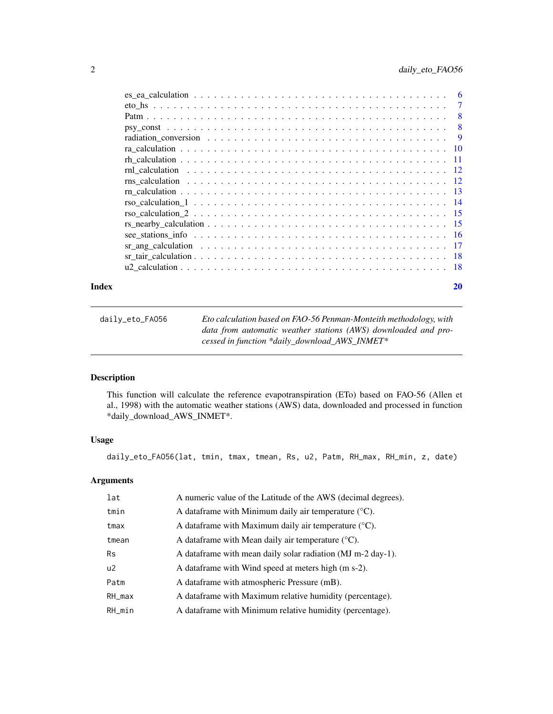<span id="page-1-0"></span>

|  |  |  |  |  |  |  |  |  |  |  |  |  |  |  |  | -7           |
|--|--|--|--|--|--|--|--|--|--|--|--|--|--|--|--|--------------|
|  |  |  |  |  |  |  |  |  |  |  |  |  |  |  |  | $\mathbf{8}$ |
|  |  |  |  |  |  |  |  |  |  |  |  |  |  |  |  | $\mathbf{8}$ |
|  |  |  |  |  |  |  |  |  |  |  |  |  |  |  |  | - 9          |
|  |  |  |  |  |  |  |  |  |  |  |  |  |  |  |  |              |
|  |  |  |  |  |  |  |  |  |  |  |  |  |  |  |  |              |
|  |  |  |  |  |  |  |  |  |  |  |  |  |  |  |  |              |
|  |  |  |  |  |  |  |  |  |  |  |  |  |  |  |  |              |
|  |  |  |  |  |  |  |  |  |  |  |  |  |  |  |  |              |
|  |  |  |  |  |  |  |  |  |  |  |  |  |  |  |  |              |
|  |  |  |  |  |  |  |  |  |  |  |  |  |  |  |  |              |
|  |  |  |  |  |  |  |  |  |  |  |  |  |  |  |  |              |
|  |  |  |  |  |  |  |  |  |  |  |  |  |  |  |  |              |
|  |  |  |  |  |  |  |  |  |  |  |  |  |  |  |  |              |
|  |  |  |  |  |  |  |  |  |  |  |  |  |  |  |  |              |
|  |  |  |  |  |  |  |  |  |  |  |  |  |  |  |  |              |
|  |  |  |  |  |  |  |  |  |  |  |  |  |  |  |  |              |

#### **Index** [20](#page-19-0)

| daily_eto_FA056 | Eto calculation based on FAO-56 Penman-Monteith methodology, with                                               |
|-----------------|-----------------------------------------------------------------------------------------------------------------|
|                 | data from automatic weather stations (AWS) downloaded and pro-<br>cessed in function *daily_download_AWS_INMET* |
|                 |                                                                                                                 |

# Description

This function will calculate the reference evapotranspiration (ETo) based on FAO-56 (Allen et al., 1998) with the automatic weather stations (AWS) data, downloaded and processed in function \*daily\_download\_AWS\_INMET\*.

#### Usage

daily\_eto\_FAO56(lat, tmin, tmax, tmean, Rs, u2, Patm, RH\_max, RH\_min, z, date)

# Arguments

| lat            | A numeric value of the Latitude of the AWS (decimal degrees).     |
|----------------|-------------------------------------------------------------------|
| tmin           | A data frame with Minimum daily air temperature $({}^{\circ}C)$ . |
| tmax           | A data frame with Maximum daily air temperature $({}^{\circ}C)$ . |
| tmean          | A dataframe with Mean daily air temperature $(^{\circ}C)$ .       |
| <b>Rs</b>      | A dataframe with mean daily solar radiation (MJ m-2 day-1).       |
| u <sub>2</sub> | A data frame with Wind speed at meters high (m s-2).              |
| Patm           | A dataframe with atmospheric Pressure (mB).                       |
| $RH_{max}$     | A dataframe with Maximum relative humidity (percentage).          |
| RH_min         | A dataframe with Minimum relative humidity (percentage).          |
|                |                                                                   |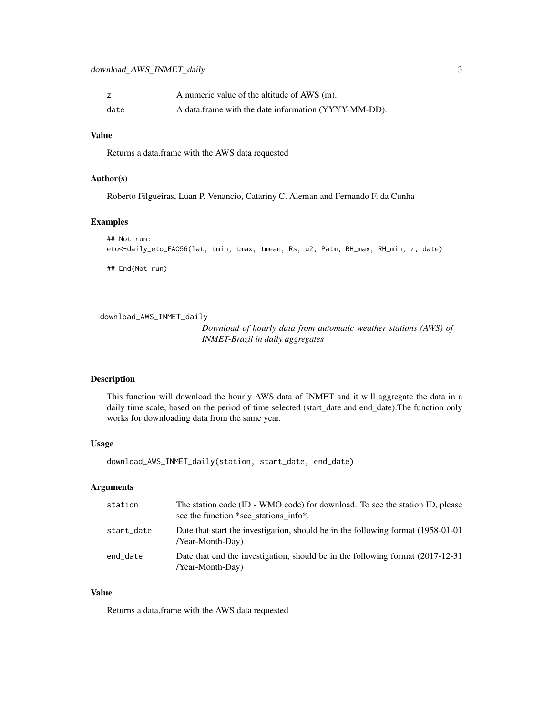<span id="page-2-0"></span>

|      | A numeric value of the altitude of AWS (m).          |
|------|------------------------------------------------------|
| date | A data frame with the date information (YYYY-MM-DD). |

#### Value

Returns a data.frame with the AWS data requested

#### Author(s)

Roberto Filgueiras, Luan P. Venancio, Catariny C. Aleman and Fernando F. da Cunha

#### Examples

```
## Not run:
eto<-daily_eto_FAO56(lat, tmin, tmax, tmean, Rs, u2, Patm, RH_max, RH_min, z, date)
## End(Not run)
```
download\_AWS\_INMET\_daily

*Download of hourly data from automatic weather stations (AWS) of INMET-Brazil in daily aggregates*

#### Description

This function will download the hourly AWS data of INMET and it will aggregate the data in a daily time scale, based on the period of time selected (start\_date and end\_date).The function only works for downloading data from the same year.

#### Usage

download\_AWS\_INMET\_daily(station, start\_date, end\_date)

#### Arguments

| station    | The station code (ID - WMO code) for download. To see the station ID, please<br>see the function *see_stations info*. |
|------------|-----------------------------------------------------------------------------------------------------------------------|
| start_date | Date that start the investigation, should be in the following format (1958-01-01)<br>/Year-Month-Day)                 |
| end_date   | Date that end the investigation, should be in the following format $(2017-12-31)$<br>/Year-Month-Day)                 |

#### Value

Returns a data.frame with the AWS data requested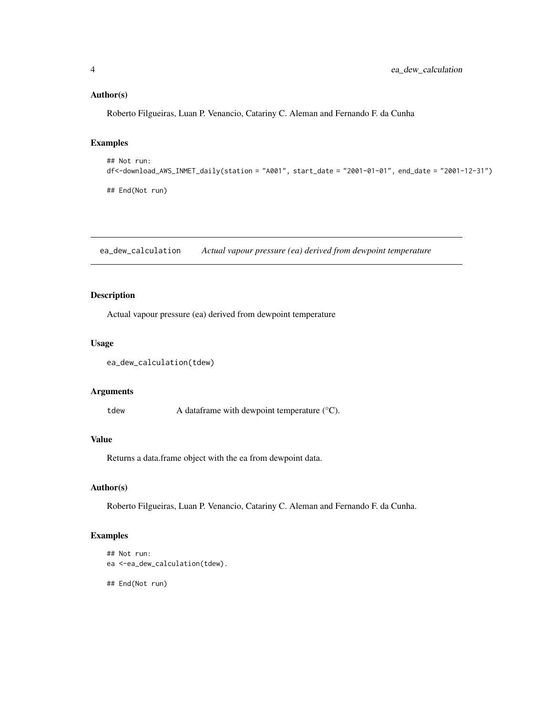# <span id="page-3-0"></span>Author(s)

Roberto Filgueiras, Luan P. Venancio, Catariny C. Aleman and Fernando F. da Cunha

#### Examples

```
## Not run:
df<-download_AWS_INMET_daily(station = "A001", start_date = "2001-01-01", end_date = "2001-12-31")
## End(Not run)
```
ea\_dew\_calculation *Actual vapour pressure (ea) derived from dewpoint temperature*

#### Description

Actual vapour pressure (ea) derived from dewpoint temperature

#### Usage

```
ea_dew_calculation(tdew)
```
#### Arguments

tdew A dataframe with dewpoint temperature (°C).

#### Value

Returns a data.frame object with the ea from dewpoint data.

#### Author(s)

Roberto Filgueiras, Luan P. Venancio, Catariny C. Aleman and Fernando F. da Cunha.

# Examples

```
## Not run:
ea <-ea_dew_calculation(tdew).
```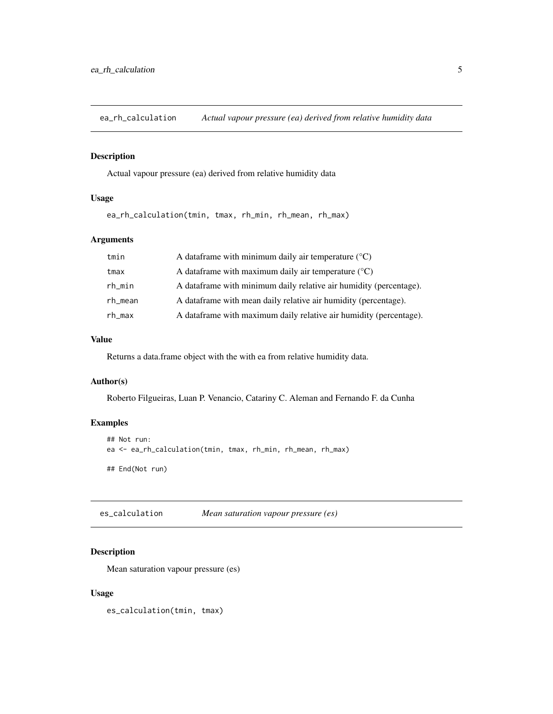<span id="page-4-0"></span>ea\_rh\_calculation *Actual vapour pressure (ea) derived from relative humidity data*

#### Description

Actual vapour pressure (ea) derived from relative humidity data

# Usage

ea\_rh\_calculation(tmin, tmax, rh\_min, rh\_mean, rh\_max)

#### Arguments

| tmin    | A data frame with minimum daily air temperature $(°C)$             |
|---------|--------------------------------------------------------------------|
| tmax    | A data frame with maximum daily air temperature $(°C)$             |
| rh_min  | A dataframe with minimum daily relative air humidity (percentage). |
| rh_mean | A data frame with mean daily relative air humidity (percentage).   |
| rh_max  | A dataframe with maximum daily relative air humidity (percentage). |

#### Value

Returns a data.frame object with the with ea from relative humidity data.

#### Author(s)

Roberto Filgueiras, Luan P. Venancio, Catariny C. Aleman and Fernando F. da Cunha

#### Examples

```
## Not run:
ea <- ea_rh_calculation(tmin, tmax, rh_min, rh_mean, rh_max)
## End(Not run)
```
es\_calculation *Mean saturation vapour pressure (es)*

# Description

Mean saturation vapour pressure (es)

#### Usage

es\_calculation(tmin, tmax)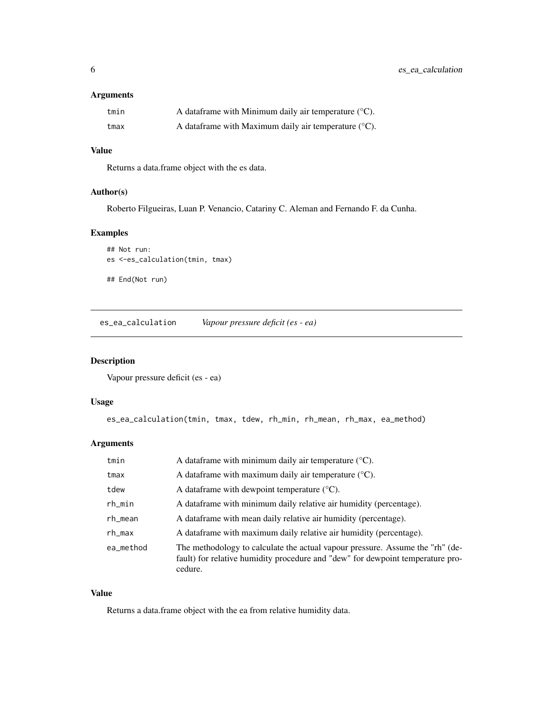#### <span id="page-5-0"></span>Arguments

| tmin | A data frame with Minimum daily air temperature $({}^{\circ}C)$ . |
|------|-------------------------------------------------------------------|
| tmax | A data frame with Maximum daily air temperature $({}^{\circ}C)$ . |

#### Value

Returns a data.frame object with the es data.

#### Author(s)

Roberto Filgueiras, Luan P. Venancio, Catariny C. Aleman and Fernando F. da Cunha.

# Examples

```
## Not run:
es <-es_calculation(tmin, tmax)
## End(Not run)
```
es\_ea\_calculation *Vapour pressure deficit (es - ea)*

# Description

Vapour pressure deficit (es - ea)

#### Usage

```
es_ea_calculation(tmin, tmax, tdew, rh_min, rh_mean, rh_max, ea_method)
```
# Arguments

| tmin      | A data frame with minimum daily air temperature $({}^{\circ}C)$ .                                                                                                          |
|-----------|----------------------------------------------------------------------------------------------------------------------------------------------------------------------------|
| tmax      | A data frame with maximum daily air temperature $({}^{\circ}C)$ .                                                                                                          |
| tdew      | A data frame with dewpoint temperature $(^{\circ}C)$ .                                                                                                                     |
| $rh$ _min | A dataframe with minimum daily relative air humidity (percentage).                                                                                                         |
| rh_mean   | A dataframe with mean daily relative air humidity (percentage).                                                                                                            |
| rh_max    | A dataframe with maximum daily relative air humidity (percentage).                                                                                                         |
| ea_method | The methodology to calculate the actual vapour pressure. Assume the "rh" (de-<br>fault) for relative humidity procedure and "dew" for dewpoint temperature pro-<br>cedure. |

#### Value

Returns a data.frame object with the ea from relative humidity data.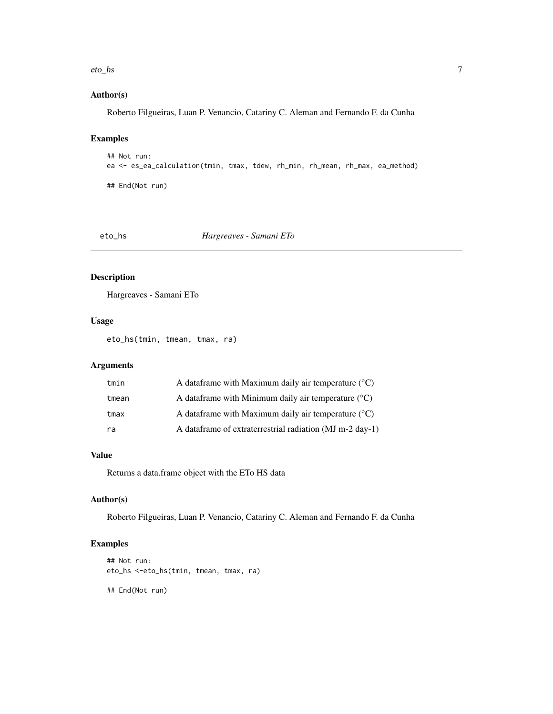#### <span id="page-6-0"></span>eto\_hs 7

# Author(s)

Roberto Filgueiras, Luan P. Venancio, Catariny C. Aleman and Fernando F. da Cunha

# Examples

```
## Not run:
ea <- es_ea_calculation(tmin, tmax, tdew, rh_min, rh_mean, rh_max, ea_method)
## End(Not run)
```
eto\_hs *Hargreaves - Samani ETo*

# Description

Hargreaves - Samani ETo

#### Usage

eto\_hs(tmin, tmean, tmax, ra)

#### Arguments

| tmin  | A data frame with Maximum daily air temperature $({}^{\circ}C)$ |
|-------|-----------------------------------------------------------------|
| tmean | A data frame with Minimum daily air temperature $({}^{\circ}C)$ |
| tmax  | A data frame with Maximum daily air temperature $({}^{\circ}C)$ |
| ra    | A dataframe of extraterrestrial radiation (MJ m-2 day-1)        |

#### Value

Returns a data.frame object with the ETo HS data

#### Author(s)

Roberto Filgueiras, Luan P. Venancio, Catariny C. Aleman and Fernando F. da Cunha

#### Examples

```
## Not run:
eto_hs <-eto_hs(tmin, tmean, tmax, ra)
## End(Not run)
```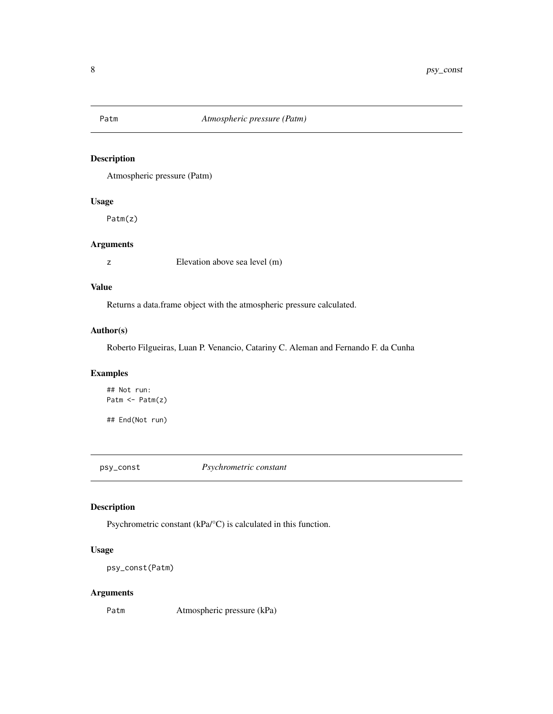<span id="page-7-0"></span>

# Description

Atmospheric pressure (Patm)

# Usage

Patm(z)

#### Arguments

z Elevation above sea level (m)

#### Value

Returns a data.frame object with the atmospheric pressure calculated.

#### Author(s)

Roberto Filgueiras, Luan P. Venancio, Catariny C. Aleman and Fernando F. da Cunha

# Examples

## Not run: Patm <- Patm(z)

## End(Not run)

psy\_const *Psychrometric constant*

#### Description

Psychrometric constant (kPa/°C) is calculated in this function.

# Usage

```
psy_const(Patm)
```
# Arguments

Patm Atmospheric pressure (kPa)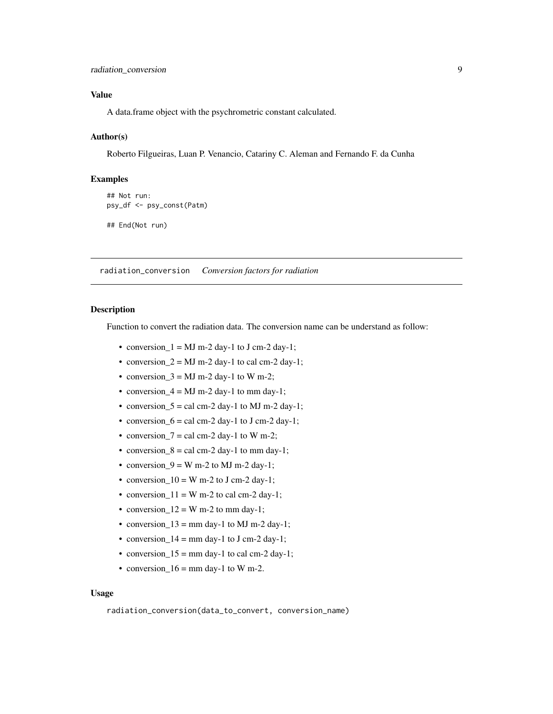#### <span id="page-8-0"></span>Value

A data.frame object with the psychrometric constant calculated.

#### Author(s)

Roberto Filgueiras, Luan P. Venancio, Catariny C. Aleman and Fernando F. da Cunha

#### Examples

```
## Not run:
psy_df <- psy_const(Patm)
```
## End(Not run)

radiation\_conversion *Conversion factors for radiation*

#### Description

Function to convert the radiation data. The conversion name can be understand as follow:

- conversion\_ $1 = MJ$  m-2 day-1 to J cm-2 day-1;
- conversion  $2 = MJ$  m-2 day-1 to cal cm-2 day-1;
- conversion\_ $3 = MJ$  m-2 day-1 to W m-2;
- conversion  $4 = MJ$  m-2 day-1 to mm day-1;
- conversion\_ $5 =$  cal cm-2 day-1 to MJ m-2 day-1;
- conversion\_6 = cal cm-2 day-1 to J cm-2 day-1;
- conversion\_7 = cal cm-2 day-1 to W m-2;
- conversion\_ $8 =$  cal cm-2 day-1 to mm day-1;
- conversion  $9 = W$  m-2 to MJ m-2 day-1;
- conversion\_ $10 = W$  m-2 to J cm-2 day-1;
- conversion\_ $11 = W$  m-2 to cal cm-2 day-1;
- conversion\_ $12 = W$  m-2 to mm day-1;
- conversion\_ $13 =$ mm day-1 to MJ m-2 day-1;
- conversion\_14 = mm day-1 to J cm-2 day-1;
- conversion\_ $15 =$ mm day-1 to cal cm-2 day-1;
- conversion\_ $16 =$ mm day-1 to W m-2.

#### Usage

```
radiation_conversion(data_to_convert, conversion_name)
```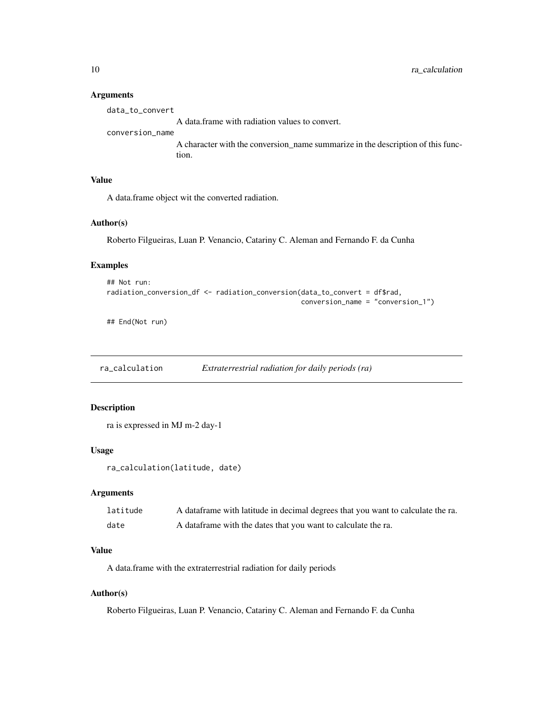#### Arguments

| data to convert |                                                |  |
|-----------------|------------------------------------------------|--|
|                 | A data frame with radiation values to convert. |  |

#### conversion\_name

A character with the conversion\_name summarize in the description of this function.

#### Value

A data.frame object wit the converted radiation.

#### Author(s)

Roberto Filgueiras, Luan P. Venancio, Catariny C. Aleman and Fernando F. da Cunha

# Examples

```
## Not run:
radiation_conversion_df <- radiation_conversion(data_to_convert = df$rad,
                                                conversion_name = "conversion_1")
```
## End(Not run)

ra\_calculation *Extraterrestrial radiation for daily periods (ra)*

#### Description

```
ra is expressed in MJ m-2 day-1
```
#### Usage

```
ra_calculation(latitude, date)
```
#### Arguments

| latitude | A data frame with latitude in decimal degrees that you want to calculate the ra. |
|----------|----------------------------------------------------------------------------------|
| date     | A data frame with the dates that you want to calculate the ra.                   |

#### Value

A data.frame with the extraterrestrial radiation for daily periods

#### Author(s)

Roberto Filgueiras, Luan P. Venancio, Catariny C. Aleman and Fernando F. da Cunha

<span id="page-9-0"></span>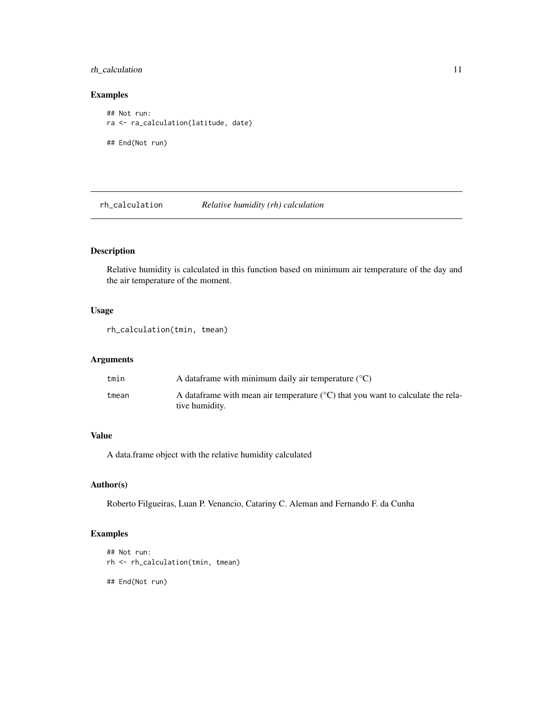# <span id="page-10-0"></span>rh\_calculation 11

#### Examples

```
## Not run:
ra <- ra_calculation(latitude, date)
## End(Not run)
```
rh\_calculation *Relative humidity (rh) calculation*

# Description

Relative humidity is calculated in this function based on minimum air temperature of the day and the air temperature of the moment.

# Usage

```
rh_calculation(tmin, tmean)
```
# Arguments

| tmin  | A data frame with minimum daily air temperature $({}^{\circ}C)$                                               |
|-------|---------------------------------------------------------------------------------------------------------------|
| tmean | A data frame with mean air temperature $({}^{\circ}C)$ that you want to calculate the rela-<br>tive humidity. |

#### Value

A data.frame object with the relative humidity calculated

# Author(s)

Roberto Filgueiras, Luan P. Venancio, Catariny C. Aleman and Fernando F. da Cunha

# Examples

```
## Not run:
rh <- rh_calculation(tmin, tmean)
```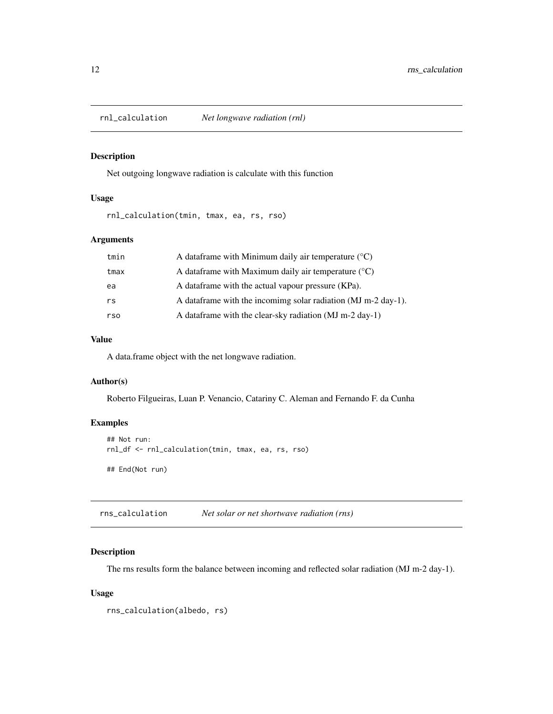<span id="page-11-0"></span>

# Description

Net outgoing longwave radiation is calculate with this function

# Usage

rnl\_calculation(tmin, tmax, ea, rs, rso)

#### Arguments

| tmin | A data frame with Minimum daily air temperature $(°C)$          |
|------|-----------------------------------------------------------------|
| tmax | A data frame with Maximum daily air temperature $({}^{\circ}C)$ |
| ea   | A data frame with the actual vapour pressure (KPa).             |
| rs   | A data frame with the incomime solar radiation (MJ m-2 day-1).  |
| rso  | A data frame with the clear-sky radiation (MJ m-2 day-1)        |

#### Value

A data.frame object with the net longwave radiation.

# Author(s)

Roberto Filgueiras, Luan P. Venancio, Catariny C. Aleman and Fernando F. da Cunha

#### Examples

```
## Not run:
rnl_df <- rnl_calculation(tmin, tmax, ea, rs, rso)
## End(Not run)
```
rns\_calculation *Net solar or net shortwave radiation (rns)*

#### Description

The rns results form the balance between incoming and reflected solar radiation (MJ m-2 day-1).

#### Usage

```
rns_calculation(albedo, rs)
```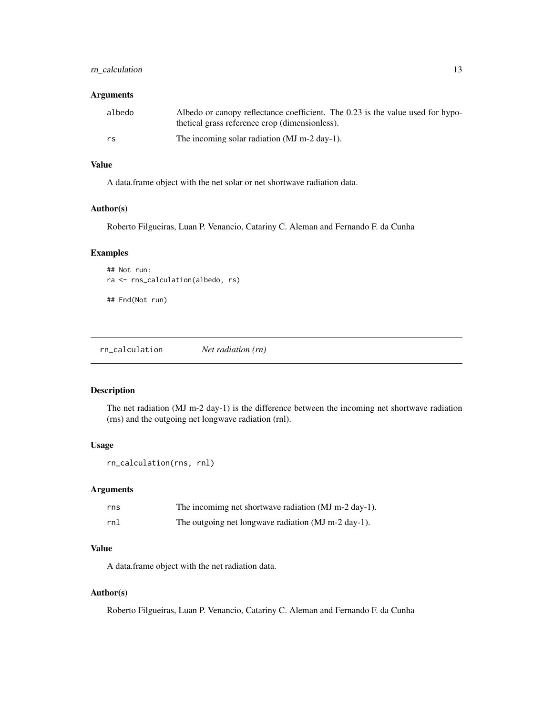# <span id="page-12-0"></span>rn\_calculation 13

#### Arguments

| albedo | Albedo or canopy reflectance coefficient. The 0.23 is the value used for hypo-<br>thetical grass reference crop (dimensionless). |
|--------|----------------------------------------------------------------------------------------------------------------------------------|
| rs     | The incoming solar radiation (MJ m-2 day-1).                                                                                     |

#### Value

A data.frame object with the net solar or net shortwave radiation data.

#### Author(s)

Roberto Filgueiras, Luan P. Venancio, Catariny C. Aleman and Fernando F. da Cunha

# Examples

```
## Not run:
ra <- rns_calculation(albedo, rs)
```
## End(Not run)

rn\_calculation *Net radiation (rn)*

# Description

The net radiation (MJ m-2 day-1) is the difference between the incoming net shortwave radiation (rns) and the outgoing net longwave radiation (rnl).

# Usage

```
rn_calculation(rns, rnl)
```
#### Arguments

| rns | The incomimg net shortwave radiation (MJ m-2 day-1). |
|-----|------------------------------------------------------|
| rnl | The outgoing net longwave radiation (MJ m-2 day-1).  |

#### Value

A data.frame object with the net radiation data.

#### Author(s)

Roberto Filgueiras, Luan P. Venancio, Catariny C. Aleman and Fernando F. da Cunha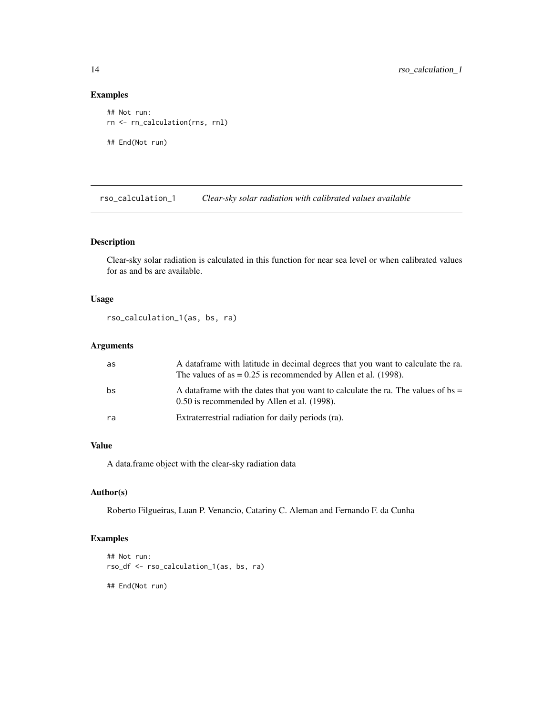#### Examples

```
## Not run:
rn <- rn_calculation(rns, rnl)
## End(Not run)
```
rso\_calculation\_1 *Clear-sky solar radiation with calibrated values available*

# Description

Clear-sky solar radiation is calculated in this function for near sea level or when calibrated values for as and bs are available.

#### Usage

```
rso_calculation_1(as, bs, ra)
```
# Arguments

| as | A dataframe with latitude in decimal degrees that you want to calculate the ra.<br>The values of as $= 0.25$ is recommended by Allen et al. (1998). |
|----|-----------------------------------------------------------------------------------------------------------------------------------------------------|
| bs | A data frame with the dates that you want to calculate the ra. The values of bs =<br>0.50 is recommended by Allen et al. (1998).                    |
| ra | Extraterrestrial radiation for daily periods (ra).                                                                                                  |

# Value

A data.frame object with the clear-sky radiation data

#### Author(s)

Roberto Filgueiras, Luan P. Venancio, Catariny C. Aleman and Fernando F. da Cunha

# Examples

```
## Not run:
rso_df <- rso_calculation_1(as, bs, ra)
```
<span id="page-13-0"></span>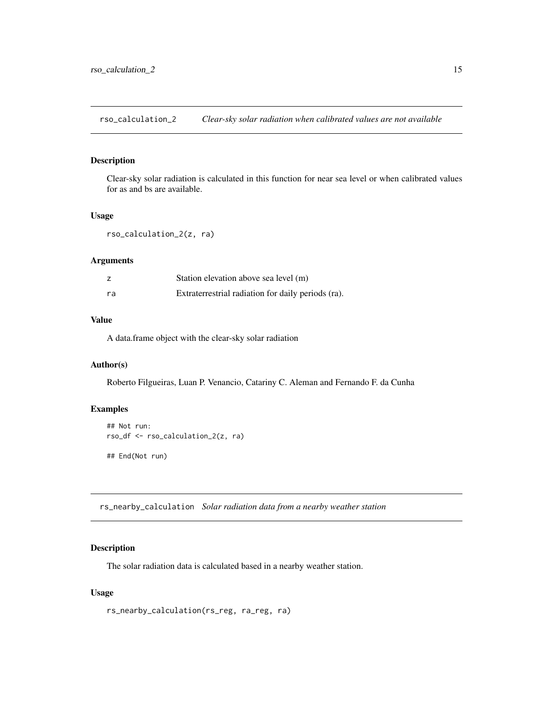<span id="page-14-0"></span>rso\_calculation\_2 *Clear-sky solar radiation when calibrated values are not available*

#### Description

Clear-sky solar radiation is calculated in this function for near sea level or when calibrated values for as and bs are available.

#### Usage

```
rso_calculation_2(z, ra)
```
#### Arguments

|    | Station elevation above sea level (m)              |
|----|----------------------------------------------------|
| ra | Extraterrestrial radiation for daily periods (ra). |

#### Value

A data.frame object with the clear-sky solar radiation

#### Author(s)

Roberto Filgueiras, Luan P. Venancio, Catariny C. Aleman and Fernando F. da Cunha

#### Examples

```
## Not run:
rso_df <- rso_calculation_2(z, ra)
## End(Not run)
```
rs\_nearby\_calculation *Solar radiation data from a nearby weather station*

#### Description

The solar radiation data is calculated based in a nearby weather station.

#### Usage

```
rs_nearby_calculation(rs_reg, ra_reg, ra)
```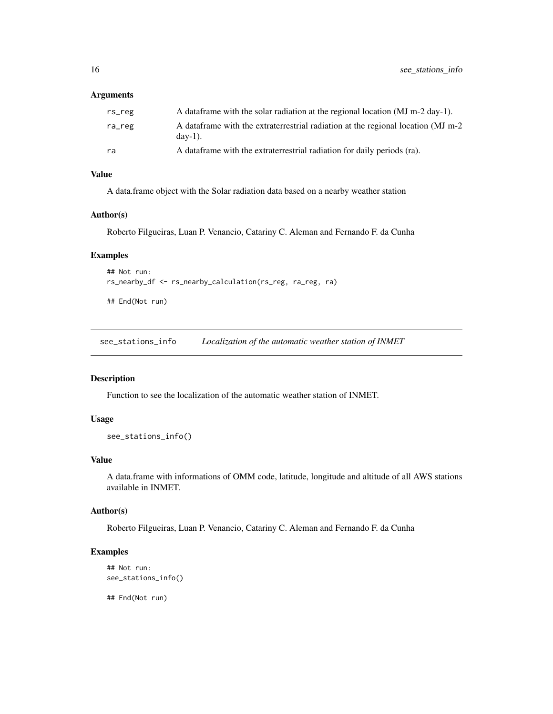#### <span id="page-15-0"></span>Arguments

| rs_reg | A data frame with the solar radiation at the regional location (MJ m-2 day-1).                           |
|--------|----------------------------------------------------------------------------------------------------------|
| ra_reg | A data frame with the extraterrestrial radiation at the regional location (MJ m-2)<br>$\frac{day-1}{}$ . |
| ra     | A dataframe with the extraterrestrial radiation for daily periods (ra).                                  |

#### Value

A data.frame object with the Solar radiation data based on a nearby weather station

#### Author(s)

Roberto Filgueiras, Luan P. Venancio, Catariny C. Aleman and Fernando F. da Cunha

#### Examples

```
## Not run:
rs_nearby_df <- rs_nearby_calculation(rs_reg, ra_reg, ra)
```
## End(Not run)

see\_stations\_info *Localization of the automatic weather station of INMET*

#### Description

Function to see the localization of the automatic weather station of INMET.

#### Usage

```
see_stations_info()
```
#### Value

A data.frame with informations of OMM code, latitude, longitude and altitude of all AWS stations available in INMET.

#### Author(s)

Roberto Filgueiras, Luan P. Venancio, Catariny C. Aleman and Fernando F. da Cunha

# Examples

```
## Not run:
see_stations_info()
```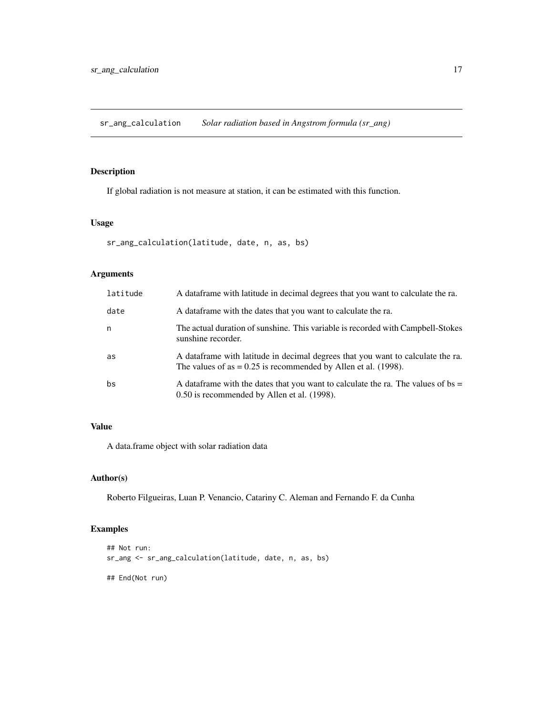<span id="page-16-0"></span>sr\_ang\_calculation *Solar radiation based in Angstrom formula (sr\_ang)*

# Description

If global radiation is not measure at station, it can be estimated with this function.

#### Usage

```
sr_ang_calculation(latitude, date, n, as, bs)
```
#### Arguments

| latitude | A dataframe with latitude in decimal degrees that you want to calculate the ra.                                                                      |
|----------|------------------------------------------------------------------------------------------------------------------------------------------------------|
| date     | A dataframe with the dates that you want to calculate the ra.                                                                                        |
| n        | The actual duration of sunshine. This variable is recorded with Campbell-Stokes<br>sunshine recorder.                                                |
| as       | A data frame with latitude in decimal degrees that you want to calculate the ra.<br>The values of as $= 0.25$ is recommended by Allen et al. (1998). |
| bs       | A data frame with the dates that you want to calculate the ra. The values of bs $=$<br>0.50 is recommended by Allen et al. (1998).                   |

# Value

A data.frame object with solar radiation data

#### Author(s)

Roberto Filgueiras, Luan P. Venancio, Catariny C. Aleman and Fernando F. da Cunha

# Examples

```
## Not run:
sr_ang <- sr_ang_calculation(latitude, date, n, as, bs)
## End(Not run)
```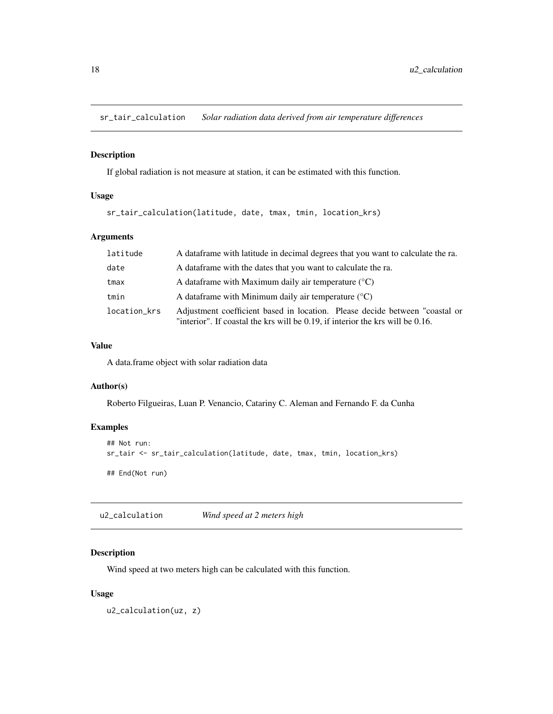<span id="page-17-0"></span>sr\_tair\_calculation *Solar radiation data derived from air temperature differences*

#### Description

If global radiation is not measure at station, it can be estimated with this function.

# Usage

```
sr_tair_calculation(latitude, date, tmax, tmin, location_krs)
```
# Arguments

| latitude     | A data frame with latitude in decimal degrees that you want to calculate the ra.                                                                              |
|--------------|---------------------------------------------------------------------------------------------------------------------------------------------------------------|
| date         | A data frame with the dates that you want to calculate the ra.                                                                                                |
| tmax         | A data frame with Maximum daily air temperature $({}^{\circ}C)$                                                                                               |
| tmin         | A data frame with Minimum daily air temperature $({}^{\circ}C)$                                                                                               |
| location_krs | Adjustment coefficient based in location. Please decide between "coastal or<br>"interior". If coastal the krs will be 0.19, if interior the krs will be 0.16. |

#### Value

A data.frame object with solar radiation data

#### Author(s)

Roberto Filgueiras, Luan P. Venancio, Catariny C. Aleman and Fernando F. da Cunha

# Examples

```
## Not run:
sr_tair <- sr_tair_calculation(latitude, date, tmax, tmin, location_krs)
## End(Not run)
```
u2\_calculation *Wind speed at 2 meters high*

# Description

Wind speed at two meters high can be calculated with this function.

#### Usage

u2\_calculation(uz, z)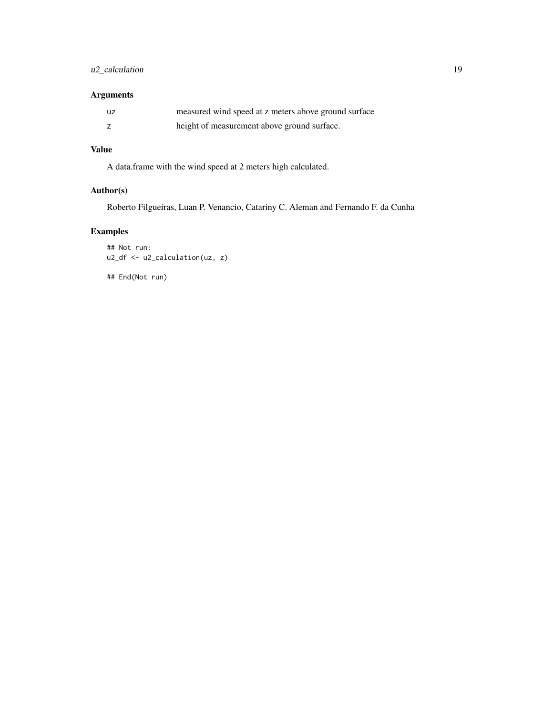# u2\_calculation 19

# Arguments

| uz | measured wind speed at z meters above ground surface |
|----|------------------------------------------------------|
|    | height of measurement above ground surface.          |

# Value

A data.frame with the wind speed at 2 meters high calculated.

# Author(s)

Roberto Filgueiras, Luan P. Venancio, Catariny C. Aleman and Fernando F. da Cunha

# Examples

```
## Not run:
u2_df <- u2_calculation(uz, z)
```